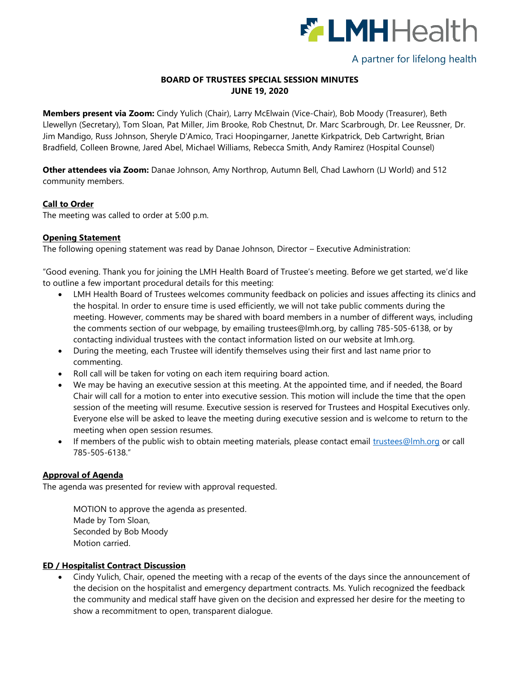

# A partner for lifelong health

## **BOARD OF TRUSTEES SPECIAL SESSION MINUTES JUNE 19, 2020**

**Members present via Zoom:** Cindy Yulich (Chair), Larry McElwain (Vice-Chair), Bob Moody (Treasurer), Beth Llewellyn (Secretary), Tom Sloan, Pat Miller, Jim Brooke, Rob Chestnut, Dr. Marc Scarbrough, Dr. Lee Reussner, Dr. Jim Mandigo, Russ Johnson, Sheryle D'Amico, Traci Hoopingarner, Janette Kirkpatrick, Deb Cartwright, Brian Bradfield, Colleen Browne, Jared Abel, Michael Williams, Rebecca Smith, Andy Ramirez (Hospital Counsel)

**Other attendees via Zoom:** Danae Johnson, Amy Northrop, Autumn Bell, Chad Lawhorn (LJ World) and 512 community members.

### **Call to Order**

The meeting was called to order at 5:00 p.m.

### **Opening Statement**

The following opening statement was read by Danae Johnson, Director – Executive Administration:

"Good evening. Thank you for joining the LMH Health Board of Trustee's meeting. Before we get started, we'd like to outline a few important procedural details for this meeting:

- LMH Health Board of Trustees welcomes community feedback on policies and issues affecting its clinics and the hospital. In order to ensure time is used efficiently, we will not take public comments during the meeting. However, comments may be shared with board members in a number of different ways, including the comments section of our webpage, by emailing [trustees@lmh.org,](mailto:trustees@lmh.org) by calling 785-505-6138, or by contacting individual trustees with the contact information listed on our website at lmh.org.
- During the meeting, each Trustee will identify themselves using their first and last name prior to commenting.
- Roll call will be taken for voting on each item requiring board action.
- We may be having an executive session at this meeting. At the appointed time, and if needed, the Board Chair will call for a motion to enter into executive session. This motion will include the time that the open session of the meeting will resume. Executive session is reserved for Trustees and Hospital Executives only. Everyone else will be asked to leave the meeting during executive session and is welcome to return to the meeting when open session resumes.
- If members of the public wish to obtain meeting materials, please contact email [trustees@lmh.org](mailto:trustees@lmh.org) or call 785-505-6138."

### **Approval of Agenda**

The agenda was presented for review with approval requested.

MOTION to approve the agenda as presented. Made by Tom Sloan, Seconded by Bob Moody Motion carried.

### **ED / Hospitalist Contract Discussion**

 Cindy Yulich, Chair, opened the meeting with a recap of the events of the days since the announcement of the decision on the hospitalist and emergency department contracts. Ms. Yulich recognized the feedback the community and medical staff have given on the decision and expressed her desire for the meeting to show a recommitment to open, transparent dialogue.